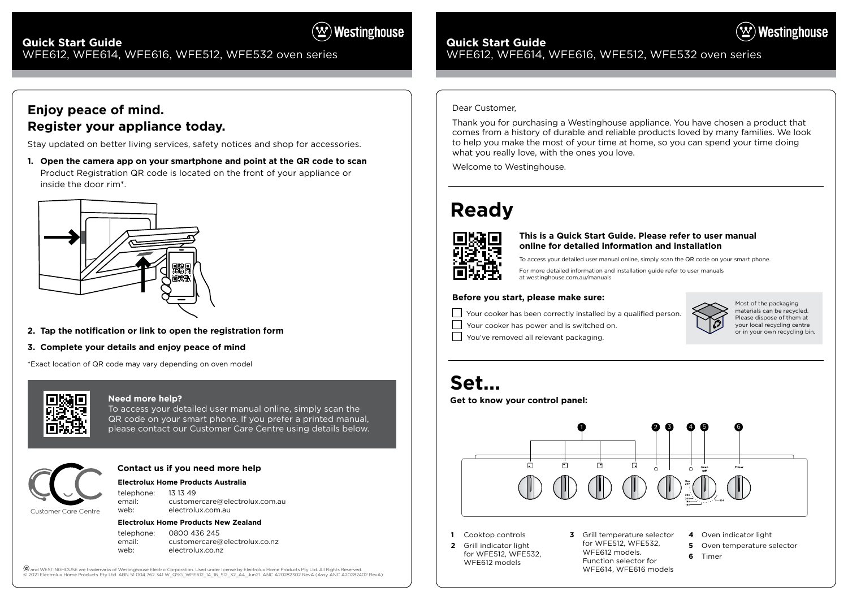# **Quick Start Guide**  WFE612, WFE614, WFE616, WFE512, WFE532 oven series

# **Ready**



# **Set...**

## **Before you start, please make sure:**

Your cooker has been correctly installed by a qualified person.

 $\Box$  Your cooker has power and is switched on.

You've removed all relevant packaging.

**Get to know your control panel:**

To access your detailed user manual online, simply scan the QR code on your smart phone. For more detailed information and installation guide refer to user manuals at westinghouse.com.au/manuals

# $(\mathbf{w})$  Westinghouse

# **Quick Start Guide**  WFE612, WFE614, WFE616, WFE512, WFE532 oven series

### **This is a Quick Start Guide. Please refer to user manual online for detailed information and installation**

Most of the packaging materials can be recycled. Please dispose of them at your local recycling centre or in your own recycling bin.

### Dear Customer,

Thank you for purchasing a Westinghouse appliance. You have chosen a product that comes from a history of durable and reliable products loved by many families. We look to help you make the most of your time at home, so you can spend your time doing what you really love, with the ones you love.

Welcome to Westinghouse.

- **2** Grill indicator light
- 







### **Need more help?**

To access your detailed user manual online, simply scan the QR code on your smart phone. If you prefer a printed manual, please contact our Customer Care Centre using details below.

### **Electrolux Home Products Australia**

telephone: 13 13 49 email: customercare@electrolux.com.au web: electrolux.com.au

#### **Electrolux Home Products New Zealand**

telephone: 0800 436 245 email: customercare@electrolux.co.nz web: electrolux.co.nz

(ヅand WESTINGHOUSE are trademarks of Westinghouse Electric Corporation. Used under license by Electrolux Home Products Pty Ltd. All Rights Reserved.<br>© 2021 Electrolux Home Products Pty Ltd. ABN 51 004 762 341 W\_QSG\_WFE612

## **Contact us if you need more help**



# **Enjoy peace of mind. Register your appliance today.**

Stay updated on better living services, safety notices and shop for accessories.

**1. Open the camera app on your smartphone and point at the QR code to scan** Product Registration QR code is located on the front of your appliance or inside the door rim\*.



- **2. Tap the notification or link to open the registration form**
- **3. Complete your details and enjoy peace of mind**

\*Exact location of QR code may vary depending on oven model